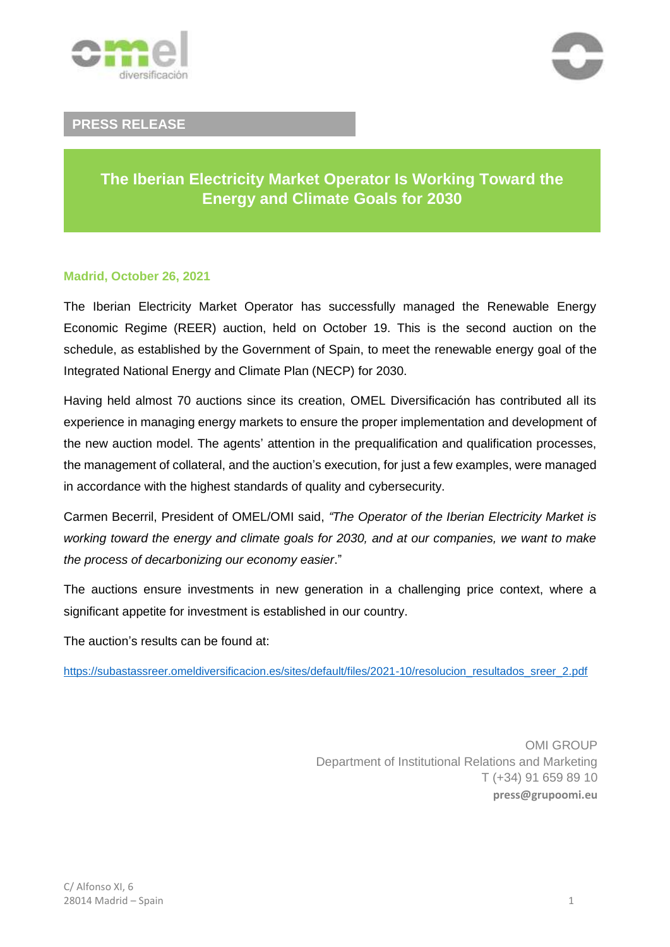



### **PRESS RELEASE**

## **The Iberian Electricity Market Operator Is Working Toward the Energy and Climate Goals for 2030**

#### **Madrid, October 26, 2021**

The Iberian Electricity Market Operator has successfully managed the Renewable Energy Economic Regime (REER) auction, held on October 19. This is the second auction on the schedule, as established by the Government of Spain, to meet the renewable energy goal of the Integrated National Energy and Climate Plan (NECP) for 2030.

Having held almost 70 auctions since its creation, OMEL Diversificación has contributed all its experience in managing energy markets to ensure the proper implementation and development of the new auction model. The agents' attention in the prequalification and qualification processes, the management of collateral, and the auction's execution, for just a few examples, were managed in accordance with the highest standards of quality and cybersecurity.

Carmen Becerril, President of OMEL/OMI said, *"The Operator of the Iberian Electricity Market is working toward the energy and climate goals for 2030, and at our companies, we want to make the process of decarbonizing our economy easier*."

The auctions ensure investments in new generation in a challenging price context, where a significant appetite for investment is established in our country.

The auction's results can be found at:

[https://subastassreer.omeldiversificacion.es/sites/default/files/2021-10/resolucion\\_resultados\\_sreer\\_2.pdf](https://subastassreer.omeldiversificacion.es/sites/default/files/2021-10/resolucion_resultados_sreer_2.pdf)

OMI GROUP Department of Institutional Relations and Marketing T (+34) 91 659 89 10 **press@grupoomi.eu**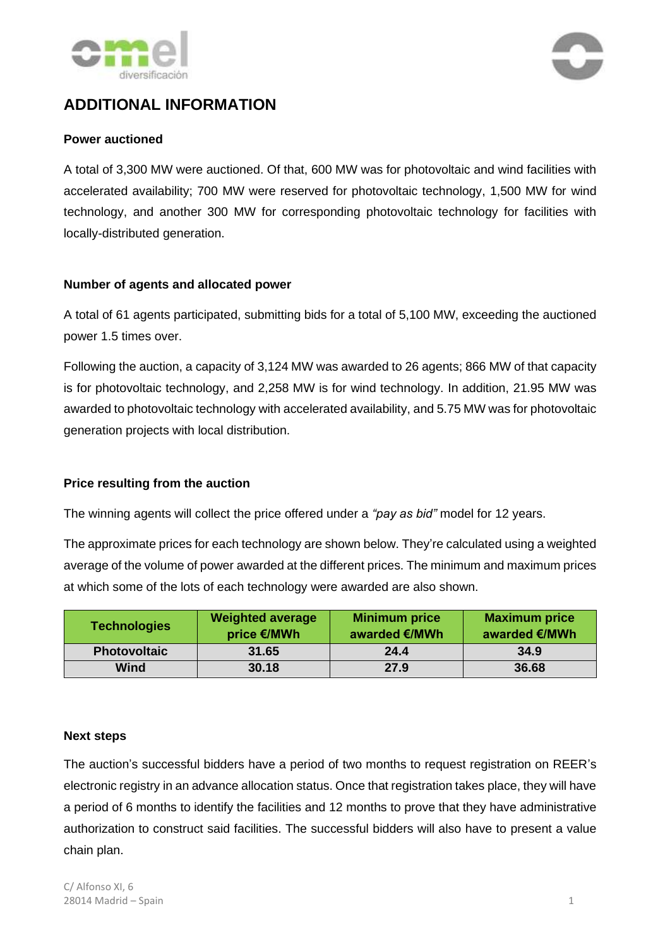



# **ADDITIONAL INFORMATION**

#### **Power auctioned**

A total of 3,300 MW were auctioned. Of that, 600 MW was for photovoltaic and wind facilities with accelerated availability; 700 MW were reserved for photovoltaic technology, 1,500 MW for wind technology, and another 300 MW for corresponding photovoltaic technology for facilities with locally-distributed generation.

#### **Number of agents and allocated power**

A total of 61 agents participated, submitting bids for a total of 5,100 MW, exceeding the auctioned power 1.5 times over.

Following the auction, a capacity of 3,124 MW was awarded to 26 agents; 866 MW of that capacity is for photovoltaic technology, and 2,258 MW is for wind technology. In addition, 21.95 MW was awarded to photovoltaic technology with accelerated availability, and 5.75 MW was for photovoltaic generation projects with local distribution.

### **Price resulting from the auction**

The winning agents will collect the price offered under a *"pay as bid"* model for 12 years.

The approximate prices for each technology are shown below. They're calculated using a weighted average of the volume of power awarded at the different prices. The minimum and maximum prices at which some of the lots of each technology were awarded are also shown.

| <b>Technologies</b> | <b>Weighted average</b><br>price €/MWh | <b>Minimum price</b><br>awarded €/MWh | <b>Maximum price</b><br>awarded €/MWh |
|---------------------|----------------------------------------|---------------------------------------|---------------------------------------|
| <b>Photovoltaic</b> | 31.65                                  | 24.4                                  | 34.9                                  |
| <b>Wind</b>         | 30.18                                  | 27.9                                  | 36.68                                 |

#### **Next steps**

The auction's successful bidders have a period of two months to request registration on REER's electronic registry in an advance allocation status. Once that registration takes place, they will have a period of 6 months to identify the facilities and 12 months to prove that they have administrative authorization to construct said facilities. The successful bidders will also have to present a value chain plan.